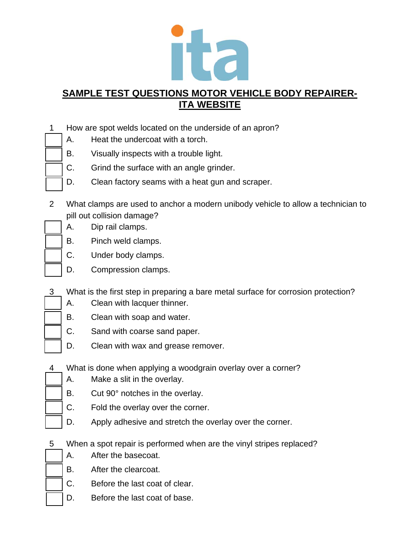

- 1 How are spot welds located on the underside of an apron?
	- A. Heat the undercoat with a torch.
	- B. Visually inspects with a trouble light.
	- C. Grind the surface with an angle grinder.
	- D. Clean factory seams with a heat gun and scraper.
- 2 What clamps are used to anchor a modern unibody vehicle to allow a technician to pill out collision damage?
	- A. Dip rail clamps.
	- B. Pinch weld clamps.
	- C. Under body clamps.
	- D. Compression clamps.
- 3 What is the first step in preparing a bare metal surface for corrosion protection?
	- A. Clean with lacquer thinner.
	- B. Clean with soap and water.
	- C. Sand with coarse sand paper.
	- D. Clean with wax and grease remover.
- 4 What is done when applying a woodgrain overlay over a corner?
	- A. Make a slit in the overlay.
	- B. Cut 90° notches in the overlay.
	- C. Fold the overlay over the corner.
	- D. Apply adhesive and stretch the overlay over the corner.
- 5 When a spot repair is performed when are the vinyl stripes replaced?
	- A. After the basecoat.
	- B. After the clearcoat.
	- C. Before the last coat of clear.
		- D. Before the last coat of base.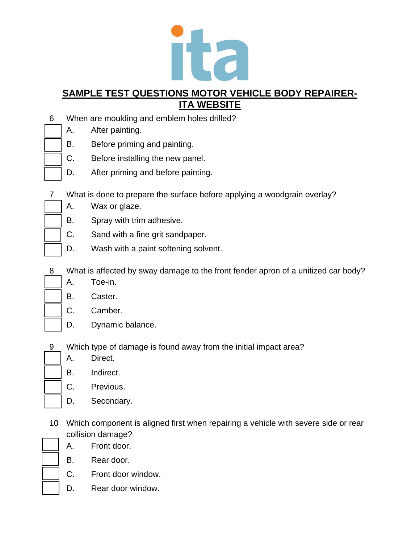

- 6 When are moulding and emblem holes drilled?
	- A. After painting.
	- B. Before priming and painting.
	- C. Before installing the new panel.
	- D. After priming and before painting.
- 7 What is done to prepare the surface before applying a woodgrain overlay?
	- A. Wax or glaze.
	- B. Spray with trim adhesive.
	- C. Sand with a fine grit sandpaper.
	- D. Wash with a paint softening solvent.
- 8 What is affected by sway damage to the front fender apron of a unitized car body?
	- A. Toe-in.
	- B. Caster.
	- C. Camber.
	- D. Dynamic balance.
- 9 Which type of damage is found away from the initial impact area?
	- A. Direct.
	- B. Indirect.
	- C. Previous.
	- D. Secondary.
- 10 Which component is aligned first when repairing a vehicle with severe side or rear collision damage?
	- A. Front door.
	- B. Rear door.
	- C. Front door window.
	- D. Rear door window.
-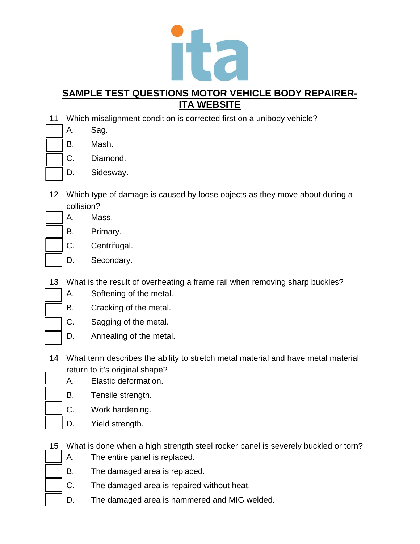

- 11 Which misalignment condition is corrected first on a unibody vehicle?
	- A. Sag.
	- B. Mash.
		- C. Diamond.
	- D. Sidesway.
- 12 Which type of damage is caused by loose objects as they move about during a collision?
	- A. Mass.
		- B. Primary.
	- C. Centrifugal.
	- D. Secondary.
- 13 What is the result of overheating a frame rail when removing sharp buckles?
- 
- A. Softening of the metal. B. Cracking of the metal.
	- C. Sagging of the metal.
	- D. Annealing of the metal.
- 14 What term describes the ability to stretch metal material and have metal material return to it's original shape?
	- A. Elastic deformation.
	- B. Tensile strength.
	- C. Work hardening.
	- D. Yield strength.
- 15 What is done when a high strength steel rocker panel is severely buckled or torn?
	- A. The entire panel is replaced.
	- B. The damaged area is replaced.
	- C. The damaged area is repaired without heat.
	- D. The damaged area is hammered and MIG welded.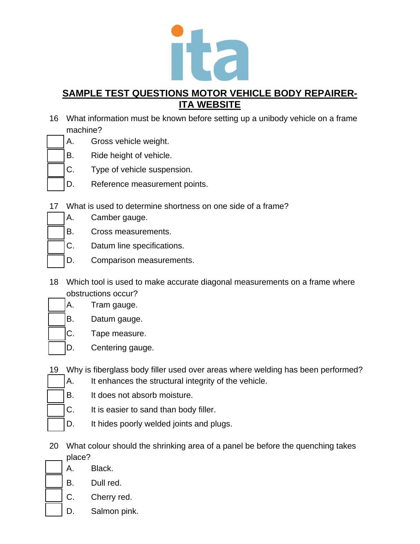

- 16 What information must be known before setting up a unibody vehicle on a frame machine?
	- A. Gross vehicle weight.
		- B. Ride height of vehicle.
		- C. Type of vehicle suspension.
		- D. Reference measurement points.
- 17 What is used to determine shortness on one side of a frame?
	- A. Camber gauge.
		- B. Cross measurements.
		- C. Datum line specifications.
		- D. Comparison measurements.
- 18 Which tool is used to make accurate diagonal measurements on a frame where obstructions occur?
	- A. Tram gauge.
		- B. Datum gauge.
		- C. Tape measure.
		- D. Centering gauge.
- 19 Why is fiberglass body filler used over areas where welding has been performed?
	- A. It enhances the structural integrity of the vehicle.
- B. It does not absorb moisture.
	- C. It is easier to sand than body filler.
	- D. It hides poorly welded joints and plugs.
- 20 What colour should the shrinking area of a panel be before the quenching takes place?
	- A. Black.
	- B. Dull red.
	- C. Cherry red.
	- D. Salmon pink.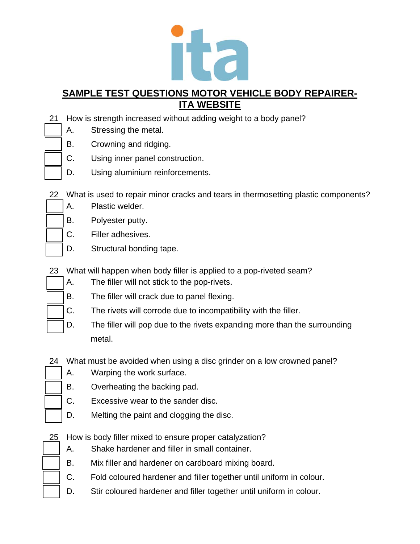

- 21 How is strength increased without adding weight to a body panel?
	- A. Stressing the metal.
	- B. Crowning and ridging.
		- C. Using inner panel construction.
		- D. Using aluminium reinforcements.
- 22 What is used to repair minor cracks and tears in thermosetting plastic components?
	- A. Plastic welder.
		- B. Polyester putty.
		- C. Filler adhesives.
		- D. Structural bonding tape.
- 23 What will happen when body filler is applied to a pop-riveted seam?
	- A. The filler will not stick to the pop-rivets.
	- B. The filler will crack due to panel flexing.
	- C. The rivets will corrode due to incompatibility with the filler.
	- D. The filler will pop due to the rivets expanding more than the surrounding metal.
- 24 What must be avoided when using a disc grinder on a low crowned panel?
	- A. Warping the work surface.
	- B. Overheating the backing pad.
	- C. Excessive wear to the sander disc.
	- D. Melting the paint and clogging the disc.
- 25 How is body filler mixed to ensure proper catalyzation?
	- A. Shake hardener and filler in small container.
	- B. Mix filler and hardener on cardboard mixing board.
	- C. Fold coloured hardener and filler together until uniform in colour.
	- D. Stir coloured hardener and filler together until uniform in colour.